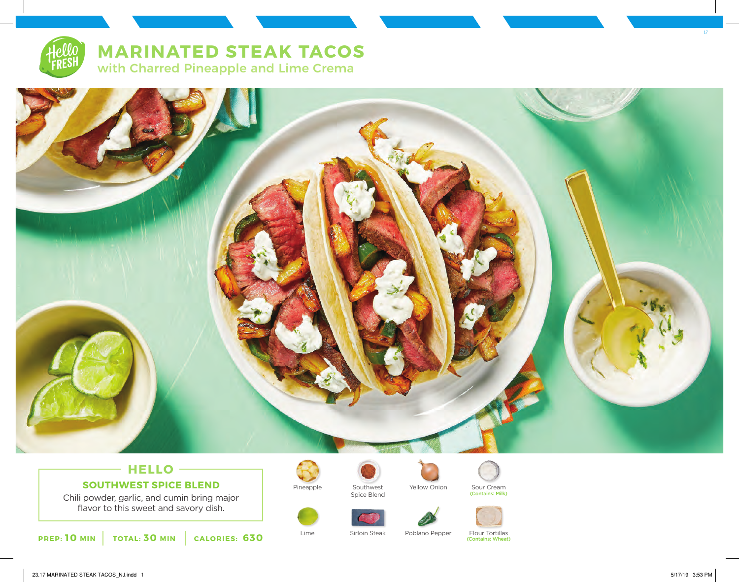

**MARINATED STEAK TACOS** with Charred Pineapple and Lime Crema



## **HELLO SOUTHWEST SPICE BLEND**

Chili powder, garlic, and cumin bring major flavor to this sweet and savory dish.





Pineapple Southwest Yellow Onion Sour Cream Spice Blend











Lime Sirloin Steak Poblano Pepper Flour Tortillas (Contains: Wheat) 17